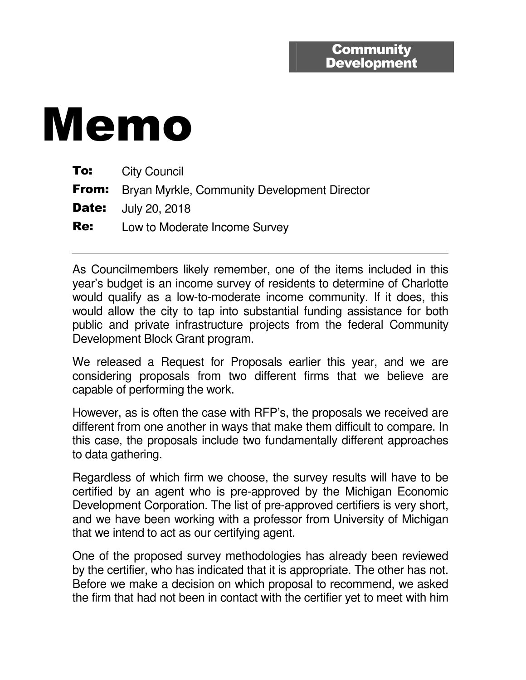## Memo

|            | <b>To:</b> City Council                                   |
|------------|-----------------------------------------------------------|
|            | <b>From:</b> Bryan Myrkle, Community Development Director |
|            | <b>Date:</b> July 20, 2018                                |
| <b>Re:</b> | Low to Moderate Income Survey                             |

As Councilmembers likely remember, one of the items included in this year's budget is an income survey of residents to determine of Charlotte would qualify as a low-to-moderate income community. If it does, this would allow the city to tap into substantial funding assistance for both public and private infrastructure projects from the federal Community Development Block Grant program.

We released a Request for Proposals earlier this year, and we are considering proposals from two different firms that we believe are capable of performing the work.

However, as is often the case with RFP's, the proposals we received are different from one another in ways that make them difficult to compare. In this case, the proposals include two fundamentally different approaches to data gathering.

Regardless of which firm we choose, the survey results will have to be certified by an agent who is pre-approved by the Michigan Economic Development Corporation. The list of pre-approved certifiers is very short, and we have been working with a professor from University of Michigan that we intend to act as our certifying agent.

One of the proposed survey methodologies has already been reviewed by the certifier, who has indicated that it is appropriate. The other has not. Before we make a decision on which proposal to recommend, we asked the firm that had not been in contact with the certifier yet to meet with him